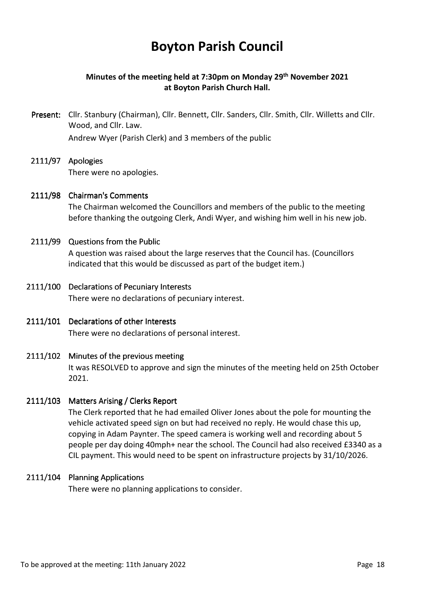# **Boyton Parish Council**

# **Minutes of the meeting held at 7:30pm on Monday 29th November 2021 at Boyton Parish Church Hall.**

- Present: Cllr. Stanbury (Chairman), Cllr. Bennett, Cllr. Sanders, Cllr. Smith, Cllr. Willetts and Cllr. Wood, and Cllr. Law. Andrew Wyer (Parish Clerk) and 3 members of the public
- 2111/97 Apologies There were no apologies.
- 2111/98 Chairman's Comments The Chairman welcomed the Councillors and members of the public to the meeting before thanking the outgoing Clerk, Andi Wyer, and wishing him well in his new job.

## 2111/99 Questions from the Public

 A question was raised about the large reserves that the Council has. (Councillors indicated that this would be discussed as part of the budget item.)

- 2111/100 Declarations of Pecuniary Interests There were no declarations of pecuniary interest.
- 2111/101 Declarations of other Interests There were no declarations of personal interest.
- $2111/102$  Minutes of the previous meeting It was RESOLVED to approve and sign the minutes of the meeting held on 25th October 2021.

#### 2111/103 Matters Arising / Clerks Report

 The Clerk reported that he had emailed Oliver Jones about the pole for mounting the vehicle activated speed sign on but had received no reply. He would chase this up, copying in Adam Paynter. The speed camera is working well and recording about 5 people per day doing 40mph+ near the school. The Council had also received £3340 as a CIL payment. This would need to be spent on infrastructure projects by 31/10/2026.

### 2111/104 Planning Applications

There were no planning applications to consider.